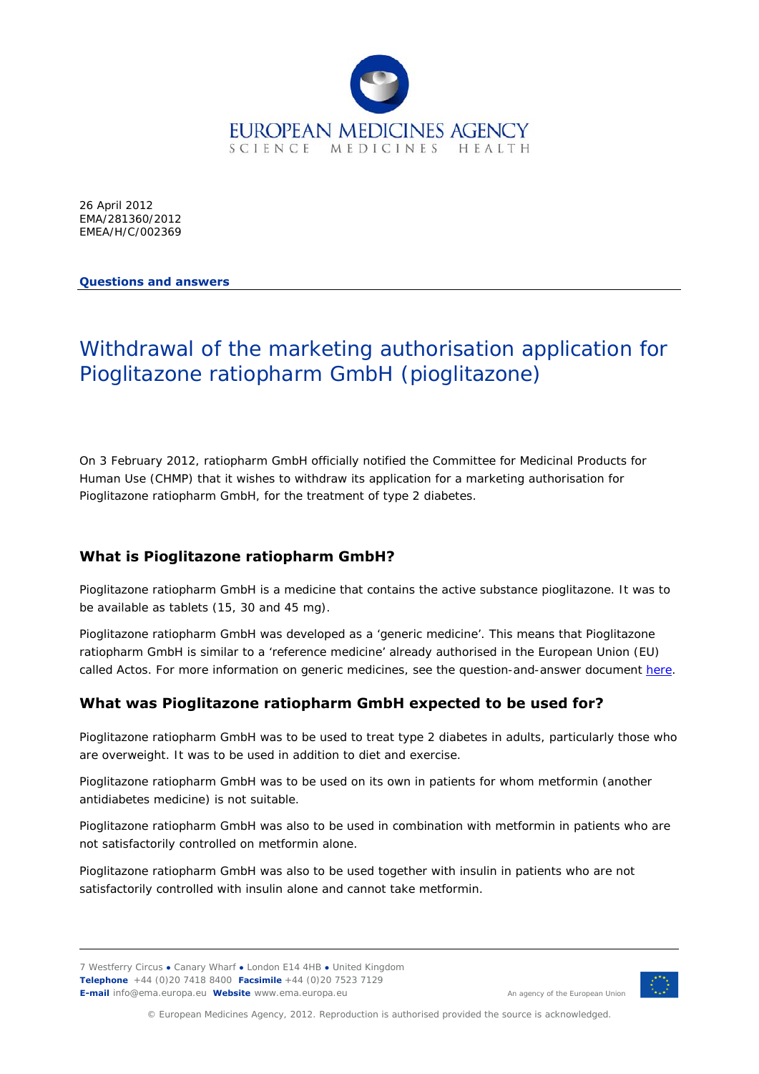

26 April 2012 EMA/281360/2012 EMEA/H/C/002369

#### **Questions and answers**

# Withdrawal of the marketing authorisation application for Pioglitazone ratiopharm GmbH (pioglitazone)

On 3 February 2012, ratiopharm GmbH officially notified the Committee for Medicinal Products for Human Use (CHMP) that it wishes to withdraw its application for a marketing authorisation for Pioglitazone ratiopharm GmbH, for the treatment of type 2 diabetes.

## **What is Pioglitazone ratiopharm GmbH?**

Pioglitazone ratiopharm GmbH is a medicine that contains the active substance pioglitazone. It was to be available as tablets (15, 30 and 45 mg).

Pioglitazone ratiopharm GmbH was developed as a 'generic medicine'. This means that Pioglitazone ratiopharm GmbH is similar to a 'reference medicine' already authorised in the European Union (EU) called Actos. For more information on generic medicines, see the question-and-answer document [here](http://www.ema.europa.eu/docs/en_GB/document_library/Medicine_QA/2009/11/WC500012382.pdf).

# **What was Pioglitazone ratiopharm GmbH expected to be used for?**

Pioglitazone ratiopharm GmbH was to be used to treat type 2 diabetes in adults, particularly those who are overweight. It was to be used in addition to diet and exercise.

Pioglitazone ratiopharm GmbH was to be used on its own in patients for whom metformin (another antidiabetes medicine) is not suitable.

Pioglitazone ratiopharm GmbH was also to be used in combination with metformin in patients who are not satisfactorily controlled on metformin alone.

Pioglitazone ratiopharm GmbH was also to be used together with insulin in patients who are not satisfactorily controlled with insulin alone and cannot take metformin.

7 Westferry Circus **●** Canary Wharf **●** London E14 4HB **●** United Kingdom **Telephone** +44 (0)20 7418 8400 **Facsimile** +44 (0)20 7523 7129 **E-mail** info@ema.europa.eu **Website** www.ema.europa.eu <br> **E-mail** info@ema.europa.eu **Website** www.ema.europa.eu



© European Medicines Agency, 2012. Reproduction is authorised provided the source is acknowledged.